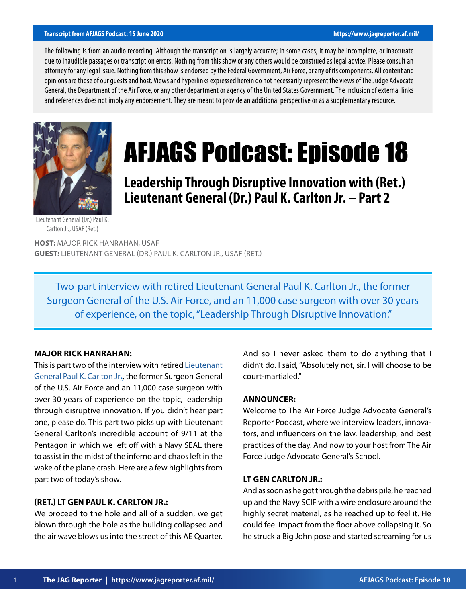#### **Transcript from AFJAGS Podcast: 15 June 2020 https://www.jagreporter.af.mil/**

The following is from an audio recording. Although the transcription is largely accurate; in some cases, it may be incomplete, or inaccurate due to inaudible passages or transcription errors. Nothing from this show or any others would be construed as legal advice. Please consult an attorney for any legal issue. Nothing from this show is endorsed by the Federal Government, Air Force, or any of its components. All content and opinions are those of our guests and host. Views and hyperlinks expressed herein do not necessarily represent the views of The Judge Advocate General, the Department of the Air Force, or any other department or agency of the United States Government. The inclusion of external links and references does not imply any endorsement. They are meant to provide an additional perspective or as a supplementary resource.



# AFJAGS Podcast: Episode 18

# **Leadership Through Disruptive Innovation with (Ret.) Lieutenant General (Dr.) Paul K. Carlton Jr. – Part 2**

Lieutenant General (Dr.) Paul K. Carlton Jr., USAF (Ret.)

**HOST:** MAJOR RICK HANRAHAN, USAF **GUEST:** LIEUTENANT GENERAL (DR.) PAUL K. CARLTON JR., USAF (RET.)

Two-part interview with retired Lieutenant General Paul K. Carlton Jr., the former Surgeon General of the U.S. Air Force, and an 11,000 case surgeon with over 30 years of experience, on the topic, "Leadership Through Disruptive Innovation."

## **MAJOR RICK HANRAHAN:**

This is part two of the interview with retired [Lieutenant](https://www.af.mil/About-Us/Biographies/Display/Article/107461/lieutenant-general-dr-paul-k-carlton-jr/) [General Paul K. Carlton Jr](https://www.af.mil/About-Us/Biographies/Display/Article/107461/lieutenant-general-dr-paul-k-carlton-jr/)**.**, the former Surgeon General of the U.S. Air Force and an 11,000 case surgeon with over 30 years of experience on the topic, leadership through disruptive innovation. If you didn't hear part one, please do. This part two picks up with Lieutenant General Carlton's incredible account of 9/11 at the Pentagon in which we left off with a Navy SEAL there to assist in the midst of the inferno and chaos left in the wake of the plane crash. Here are a few highlights from part two of today's show.

# **(RET.) LT GEN PAUL K. CARLTON JR.:**

We proceed to the hole and all of a sudden, we get blown through the hole as the building collapsed and the air wave blows us into the street of this AE Quarter. And so I never asked them to do anything that I didn't do. I said, "Absolutely not, sir. I will choose to be court-martialed."

# **ANNOUNCER:**

Welcome to The Air Force Judge Advocate General's Reporter Podcast, where we interview leaders, innovators, and influencers on the law, leadership, and best practices of the day. And now to your host from The Air Force Judge Advocate General's School.

# **LT GEN CARLTON JR.:**

And as soon as he got through the debris pile, he reached up and the Navy SCIF with a wire enclosure around the highly secret material, as he reached up to feel it. He could feel impact from the floor above collapsing it. So he struck a Big John pose and started screaming for us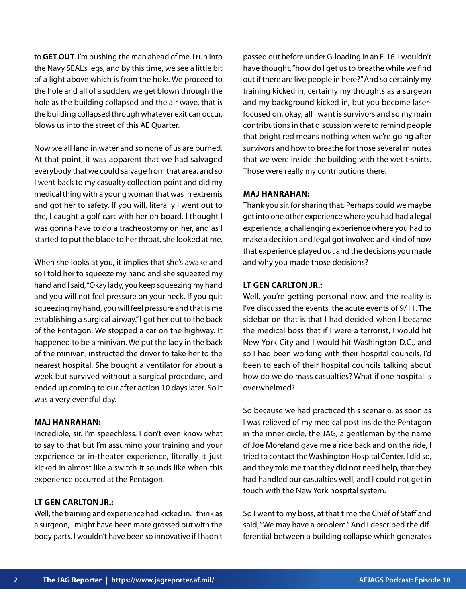to **GET OUT**. I'm pushing the man ahead of me. I run into the Navy SEAL's legs, and by this time, we see a little bit of a light above which is from the hole. We proceed to the hole and all of a sudden, we get blown through the hole as the building collapsed and the air wave, that is the building collapsed through whatever exit can occur, blows us into the street of this AE Quarter.

Now we all land in water and so none of us are burned. At that point, it was apparent that we had salvaged everybody that we could salvage from that area, and so I went back to my casualty collection point and did my medical thing with a young woman that was in extremis and got her to safety. If you will, literally I went out to the, I caught a golf cart with her on board. I thought I was gonna have to do a tracheostomy on her, and as I started to put the blade to her throat, she looked at me.

When she looks at you, it implies that she's awake and so I told her to squeeze my hand and she squeezed my hand and I said, "Okay lady, you keep squeezing my hand and you will not feel pressure on your neck. If you quit squeezing my hand, you will feel pressure and that is me establishing a surgical airway." I got her out to the back of the Pentagon. We stopped a car on the highway. It happened to be a minivan. We put the lady in the back of the minivan, instructed the driver to take her to the nearest hospital. She bought a ventilator for about a week but survived without a surgical procedure, and ended up coming to our after action 10 days later. So it was a very eventful day.

#### **MAJ HANRAHAN:**

Incredible, sir. I'm speechless. I don't even know what to say to that but I'm assuming your training and your experience or in-theater experience, literally it just kicked in almost like a switch it sounds like when this experience occurred at the Pentagon.

# **LT GEN CARLTON JR.:**

Well, the training and experience had kicked in. I think as a surgeon, I might have been more grossed out with the body parts. I wouldn't have been so innovative if I hadn't

passed out before under G-loading in an F-16. I wouldn't have thought, "how do I get us to breathe while we find out if there are live people in here?" And so certainly my training kicked in, certainly my thoughts as a surgeon and my background kicked in, but you become laserfocused on, okay, all I want is survivors and so my main contributions in that discussion were to remind people that bright red means nothing when we're going after survivors and how to breathe for those several minutes that we were inside the building with the wet t-shirts. Those were really my contributions there.

#### **MAJ HANRAHAN:**

Thank you sir, for sharing that. Perhaps could we maybe get into one other experience where you had had a legal experience, a challenging experience where you had to make a decision and legal got involved and kind of how that experience played out and the decisions you made and why you made those decisions?

#### **LT GEN CARLTON JR.:**

Well, you're getting personal now, and the reality is I've discussed the events, the acute events of 9/11. The sidebar on that is that I had decided when I became the medical boss that if I were a terrorist, I would hit New York City and I would hit Washington D.C., and so I had been working with their hospital councils. I'd been to each of their hospital councils talking about how do we do mass casualties? What if one hospital is overwhelmed?

So because we had practiced this scenario, as soon as I was relieved of my medical post inside the Pentagon in the inner circle, the JAG, a gentleman by the name of Joe Moreland gave me a ride back and on the ride, I tried to contact the Washington Hospital Center. I did so, and they told me that they did not need help, that they had handled our casualties well, and I could not get in touch with the New York hospital system.

So I went to my boss, at that time the Chief of Staff and said, "We may have a problem." And I described the differential between a building collapse which generates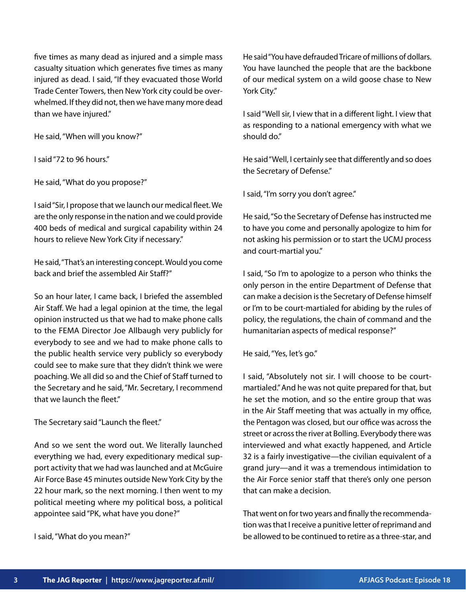five times as many dead as injured and a simple mass casualty situation which generates five times as many injured as dead. I said, "If they evacuated those World Trade Center Towers, then New York city could be overwhelmed. If they did not, then we have many more dead than we have injured."

He said, "When will you know?"

I said "72 to 96 hours."

He said, "What do you propose?"

I said "Sir, I propose that we launch our medical fleet. We are the only response in the nation and we could provide 400 beds of medical and surgical capability within 24 hours to relieve New York City if necessary."

He said, "That's an interesting concept. Would you come back and brief the assembled Air Staff?"

So an hour later, I came back, I briefed the assembled Air Staff. We had a legal opinion at the time, the legal opinion instructed us that we had to make phone calls to the FEMA Director Joe Allbaugh very publicly for everybody to see and we had to make phone calls to the public health service very publicly so everybody could see to make sure that they didn't think we were poaching. We all did so and the Chief of Staff turned to the Secretary and he said, "Mr. Secretary, I recommend that we launch the fleet."

The Secretary said "Launch the fleet."

And so we sent the word out. We literally launched everything we had, every expeditionary medical support activity that we had was launched and at McGuire Air Force Base 45 minutes outside New York City by the 22 hour mark, so the next morning. I then went to my political meeting where my political boss, a political appointee said "PK, what have you done?"

I said, "What do you mean?"

He said "You have defrauded Tricare of millions of dollars. You have launched the people that are the backbone of our medical system on a wild goose chase to New York City."

I said "Well sir, I view that in a different light. I view that as responding to a national emergency with what we should do."

He said "Well, I certainly see that differently and so does the Secretary of Defense."

I said, "I'm sorry you don't agree."

He said, "So the Secretary of Defense has instructed me to have you come and personally apologize to him for not asking his permission or to start the UCMJ process and court-martial you."

I said, "So I'm to apologize to a person who thinks the only person in the entire Department of Defense that can make a decision is the Secretary of Defense himself or I'm to be court-martialed for abiding by the rules of policy, the regulations, the chain of command and the humanitarian aspects of medical response?"

He said, "Yes, let's go."

I said, "Absolutely not sir. I will choose to be courtmartialed." And he was not quite prepared for that, but he set the motion, and so the entire group that was in the Air Staff meeting that was actually in my office, the Pentagon was closed, but our office was across the street or across the river at Bolling. Everybody there was interviewed and what exactly happened, and Article 32 is a fairly investigative—the civilian equivalent of a grand jury—and it was a tremendous intimidation to the Air Force senior staff that there's only one person that can make a decision.

That went on for two years and finally the recommendation was that I receive a punitive letter of reprimand and be allowed to be continued to retire as a three-star, and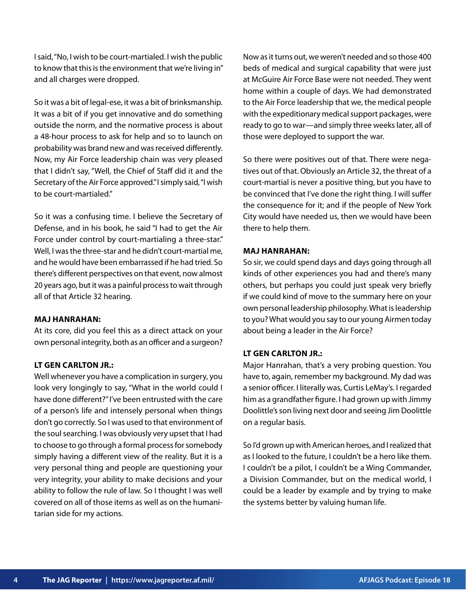I said, "No, I wish to be court-martialed. I wish the public to know that this is the environment that we're living in" and all charges were dropped.

So it was a bit of legal-ese, it was a bit of brinksmanship. It was a bit of if you get innovative and do something outside the norm, and the normative process is about a 48-hour process to ask for help and so to launch on probability was brand new and was received differently. Now, my Air Force leadership chain was very pleased that I didn't say, "Well, the Chief of Staff did it and the Secretary of the Air Force approved." I simply said, "I wish to be court-martialed."

So it was a confusing time. I believe the Secretary of Defense, and in his book, he said "I had to get the Air Force under control by court-martialing a three-star." Well, I was the three-star and he didn't court-martial me, and he would have been embarrassed if he had tried. So there's different perspectives on that event, now almost 20 years ago, but it was a painful process to wait through all of that Article 32 hearing.

## **MAJ HANRAHAN:**

At its core, did you feel this as a direct attack on your own personal integrity, both as an officer and a surgeon?

# **LT GEN CARLTON JR.:**

Well whenever you have a complication in surgery, you look very longingly to say, "What in the world could I have done different?" I've been entrusted with the care of a person's life and intensely personal when things don't go correctly. So I was used to that environment of the soul searching. I was obviously very upset that I had to choose to go through a formal process for somebody simply having a different view of the reality. But it is a very personal thing and people are questioning your very integrity, your ability to make decisions and your ability to follow the rule of law. So I thought I was well covered on all of those items as well as on the humanitarian side for my actions.

Now as it turns out, we weren't needed and so those 400 beds of medical and surgical capability that were just at McGuire Air Force Base were not needed. They went home within a couple of days. We had demonstrated to the Air Force leadership that we, the medical people with the expeditionary medical support packages, were ready to go to war—and simply three weeks later, all of those were deployed to support the war.

So there were positives out of that. There were negatives out of that. Obviously an Article 32, the threat of a court-martial is never a positive thing, but you have to be convinced that I've done the right thing. I will suffer the consequence for it; and if the people of New York City would have needed us, then we would have been there to help them.

# **MAJ HANRAHAN:**

So sir, we could spend days and days going through all kinds of other experiences you had and there's many others, but perhaps you could just speak very briefly if we could kind of move to the summary here on your own personal leadership philosophy. What is leadership to you? What would you say to our young Airmen today about being a leader in the Air Force?

# **LT GEN CARLTON JR.:**

Major Hanrahan, that's a very probing question. You have to, again, remember my background. My dad was a senior officer. I literally was, Curtis LeMay's. I regarded him as a grandfather figure. I had grown up with Jimmy Doolittle's son living next door and seeing Jim Doolittle on a regular basis.

So I'd grown up with American heroes, and I realized that as I looked to the future, I couldn't be a hero like them. I couldn't be a pilot, I couldn't be a Wing Commander, a Division Commander, but on the medical world, I could be a leader by example and by trying to make the systems better by valuing human life.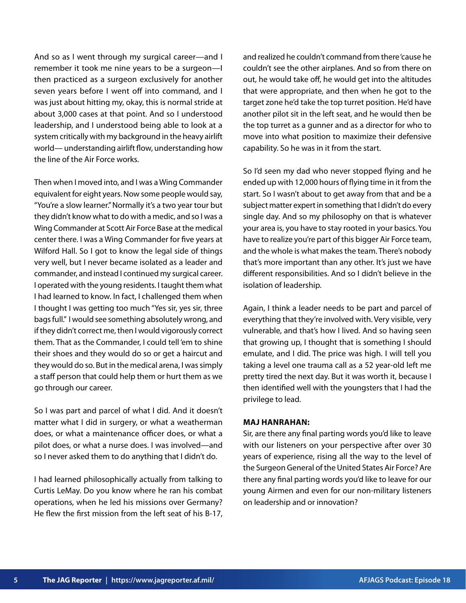And so as I went through my surgical career—and I remember it took me nine years to be a surgeon—I then practiced as a surgeon exclusively for another seven years before I went off into command, and I was just about hitting my, okay, this is normal stride at about 3,000 cases at that point. And so I understood leadership, and I understood being able to look at a system critically with my background in the heavy airlift world— understanding airlift flow, understanding how the line of the Air Force works.

Then when I moved into, and I was a Wing Commander equivalent for eight years. Now some people would say, "You're a slow learner." Normally it's a two year tour but they didn't know what to do with a medic, and so I was a Wing Commander at Scott Air Force Base at the medical center there. I was a Wing Commander for five years at Wilford Hall. So I got to know the legal side of things very well, but I never became isolated as a leader and commander, and instead I continued my surgical career. I operated with the young residents. I taught them what I had learned to know. In fact, I challenged them when I thought I was getting too much "Yes sir, yes sir, three bags full." I would see something absolutely wrong, and if they didn't correct me, then I would vigorously correct them. That as the Commander, I could tell 'em to shine their shoes and they would do so or get a haircut and they would do so. But in the medical arena, I was simply a staff person that could help them or hurt them as we go through our career.

So I was part and parcel of what I did. And it doesn't matter what I did in surgery, or what a weatherman does, or what a maintenance officer does, or what a pilot does, or what a nurse does. I was involved—and so I never asked them to do anything that I didn't do.

I had learned philosophically actually from talking to Curtis LeMay. Do you know where he ran his combat operations, when he led his missions over Germany? He flew the first mission from the left seat of his B-17, and realized he couldn't command from there 'cause he couldn't see the other airplanes. And so from there on out, he would take off, he would get into the altitudes that were appropriate, and then when he got to the target zone he'd take the top turret position. He'd have another pilot sit in the left seat, and he would then be the top turret as a gunner and as a director for who to move into what position to maximize their defensive capability. So he was in it from the start.

So I'd seen my dad who never stopped flying and he ended up with 12,000 hours of flying time in it from the start. So I wasn't about to get away from that and be a subject matter expert in something that I didn't do every single day. And so my philosophy on that is whatever your area is, you have to stay rooted in your basics. You have to realize you're part of this bigger Air Force team, and the whole is what makes the team. There's nobody that's more important than any other. It's just we have different responsibilities. And so I didn't believe in the isolation of leadership.

Again, I think a leader needs to be part and parcel of everything that they're involved with. Very visible, very vulnerable, and that's how I lived. And so having seen that growing up, I thought that is something I should emulate, and I did. The price was high. I will tell you taking a level one trauma call as a 52 year-old left me pretty tired the next day. But it was worth it, because I then identified well with the youngsters that I had the privilege to lead.

#### **MAJ HANRAHAN:**

Sir, are there any final parting words you'd like to leave with our listeners on your perspective after over 30 years of experience, rising all the way to the level of the Surgeon General of the United States Air Force? Are there any final parting words you'd like to leave for our young Airmen and even for our non-military listeners on leadership and or innovation?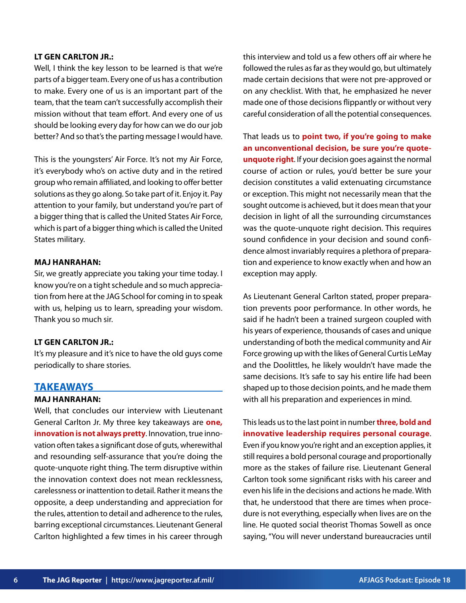#### **LT GEN CARLTON JR.:**

Well, I think the key lesson to be learned is that we're parts of a bigger team. Every one of us has a contribution to make. Every one of us is an important part of the team, that the team can't successfully accomplish their mission without that team effort. And every one of us should be looking every day for how can we do our job better? And so that's the parting message I would have.

This is the youngsters' Air Force. It's not my Air Force, it's everybody who's on active duty and in the retired group who remain affiliated, and looking to offer better solutions as they go along. So take part of it. Enjoy it. Pay attention to your family, but understand you're part of a bigger thing that is called the United States Air Force, which is part of a bigger thing which is called the United States military.

#### **MAJ HANRAHAN:**

Sir, we greatly appreciate you taking your time today. I know you're on a tight schedule and so much appreciation from here at the JAG School for coming in to speak with us, helping us to learn, spreading your wisdom. Thank you so much sir.

#### **LT GEN CARLTON JR.:**

It's my pleasure and it's nice to have the old guys come periodically to share stories.

# **TAKEAWAYS**

# **MAJ HANRAHAN:**

Well, that concludes our interview with Lieutenant General Carlton Jr. My three key takeaways are **one, innovation is not always pretty**. Innovation, true innovation often takes a significant dose of guts, wherewithal and resounding self-assurance that you're doing the quote-unquote right thing. The term disruptive within the innovation context does not mean recklessness, carelessness or inattention to detail. Rather it means the opposite, a deep understanding and appreciation for the rules, attention to detail and adherence to the rules, barring exceptional circumstances. Lieutenant General Carlton highlighted a few times in his career through this interview and told us a few others off air where he followed the rules as far as they would go, but ultimately made certain decisions that were not pre-approved or on any checklist. With that, he emphasized he never made one of those decisions flippantly or without very careful consideration of all the potential consequences.

That leads us to **point two, if you're going to make an unconventional decision, be sure you're quoteunquote right**. If your decision goes against the normal course of action or rules, you'd better be sure your decision constitutes a valid extenuating circumstance or exception. This might not necessarily mean that the sought outcome is achieved, but it does mean that your decision in light of all the surrounding circumstances was the quote-unquote right decision. This requires sound confidence in your decision and sound confidence almost invariably requires a plethora of preparation and experience to know exactly when and how an exception may apply.

As Lieutenant General Carlton stated, proper preparation prevents poor performance. In other words, he said if he hadn't been a trained surgeon coupled with his years of experience, thousands of cases and unique understanding of both the medical community and Air Force growing up with the likes of General Curtis LeMay and the Doolittles, he likely wouldn't have made the same decisions. It's safe to say his entire life had been shaped up to those decision points, and he made them with all his preparation and experiences in mind.

This leads us to the last point in number **three, bold and innovative leadership requires personal courage**. Even if you know you're right and an exception applies, it still requires a bold personal courage and proportionally more as the stakes of failure rise. Lieutenant General Carlton took some significant risks with his career and even his life in the decisions and actions he made. With that, he understood that there are times when procedure is not everything, especially when lives are on the line. He quoted social theorist Thomas Sowell as once saying, "You will never understand bureaucracies until